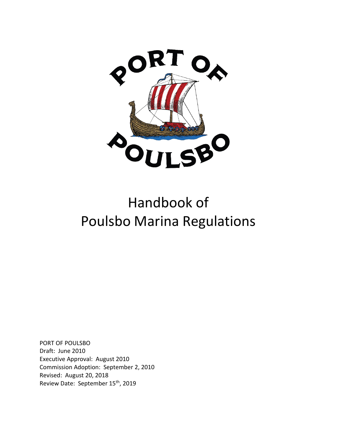

## Handbook of Poulsbo Marina Regulations

PORT OF POULSBO Draft: June 2010 Executive Approval: August 2010 Commission Adoption: September 2, 2010 Revised: August 20, 2018 Review Date: September 15th, 2019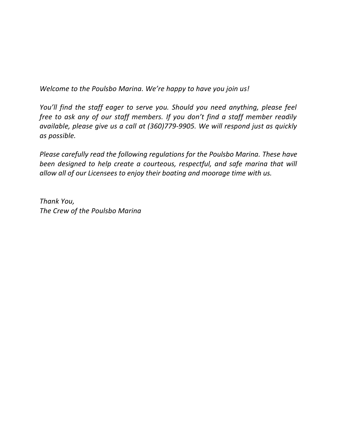*Welcome to the Poulsbo Marina. We're happy to have you join us!*

*You'll find the staff eager to serve you. Should you need anything, please feel free to ask any of our staff members. If you don't find a staff member readily available, please give us a call at (360)779-9905. We will respond just as quickly as possible.*

*Please carefully read the following regulations for the Poulsbo Marina. These have been designed to help create a courteous, respectful, and safe marina that will allow all of our Licensees to enjoy their boating and moorage time with us.*

*Thank You, The Crew of the Poulsbo Marina*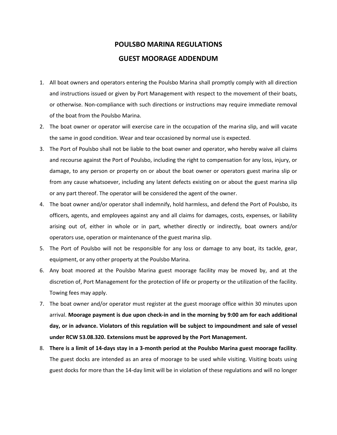## **POULSBO MARINA REGULATIONS GUEST MOORAGE ADDENDUM**

- 1. All boat owners and operators entering the Poulsbo Marina shall promptly comply with all direction and instructions issued or given by Port Management with respect to the movement of their boats, or otherwise. Non-compliance with such directions or instructions may require immediate removal of the boat from the Poulsbo Marina.
- 2. The boat owner or operator will exercise care in the occupation of the marina slip, and will vacate the same in good condition. Wear and tear occasioned by normal use is expected.
- 3. The Port of Poulsbo shall not be liable to the boat owner and operator, who hereby waive all claims and recourse against the Port of Poulsbo, including the right to compensation for any loss, injury, or damage, to any person or property on or about the boat owner or operators guest marina slip or from any cause whatsoever, including any latent defects existing on or about the guest marina slip or any part thereof. The operator will be considered the agent of the owner.
- 4. The boat owner and/or operator shall indemnify, hold harmless, and defend the Port of Poulsbo, its officers, agents, and employees against any and all claims for damages, costs, expenses, or liability arising out of, either in whole or in part, whether directly or indirectly, boat owners and/or operators use, operation or maintenance of the guest marina slip.
- 5. The Port of Poulsbo will not be responsible for any loss or damage to any boat, its tackle, gear, equipment, or any other property at the Poulsbo Marina.
- 6. Any boat moored at the Poulsbo Marina guest moorage facility may be moved by, and at the discretion of, Port Management for the protection of life or property or the utilization of the facility. Towing fees may apply.
- 7. The boat owner and/or operator must register at the guest moorage office within 30 minutes upon arrival. **Moorage payment is due upon check-in and in the morning by 9:00 am for each additional day, or in advance. Violators of this regulation will be subject to impoundment and sale of vessel under RCW 53.08.320. Extensions must be approved by the Port Management.**
- 8. **There is a limit of 14-days stay in a 3-month period at the Poulsbo Marina guest moorage facility**. The guest docks are intended as an area of moorage to be used while visiting. Visiting boats using guest docks for more than the 14-day limit will be in violation of these regulations and will no longer